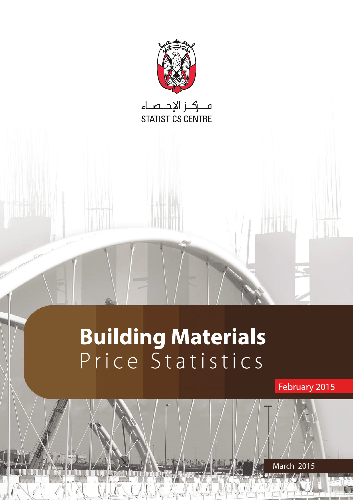

# **Building Materials** Price Statistics

1 Statistics Prince Materials Building Building Building Building Building Building Building Building Building Building Building Building Building Building Building Building Building Building Building Building Building Bui

February 2015

2015 March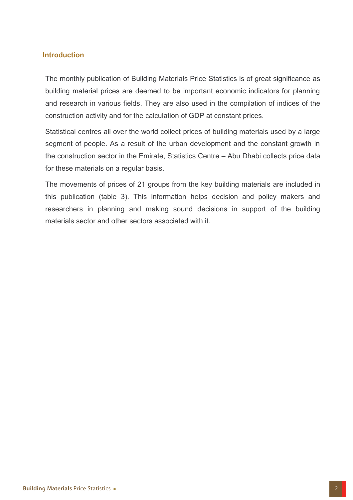# **Introduction**

The monthly publication of Building Materials Price Statistics is of great significance as building material prices are deemed to be important economic indicators for planning and research in various fields. They are also used in the compilation of indices of the construction activity and for the calculation of GDP at constant prices.

Statistical centres all over the world collect prices of building materials used by a large segment of people. As a result of the urban development and the constant growth in the construction sector in the Emirate, Statistics Centre  $-$  Abu Dhabi collects price data for these materials on a regular basis.

The movements of prices of 21 groups from the key building materials are included in this publication (table 3). This information helps decision and policy makers and researchers in planning and making sound decisions in support of the building materials sector and other sectors associated with it.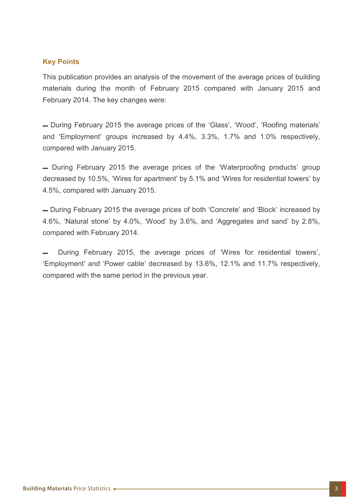# **Key Points**

This publication provides an analysis of the movement of the average prices of building materials during the month of February 2015 compared with January 2015 and February 2014. The key changes were:

- During February 2015 the average prices of the 'Glass', 'Wood', 'Roofing materials' and 'Employment' groups increased by 4.4%, 3.3%, 1.7% and 1.0% respectively, compared with January 2015.

- During February 2015 the average prices of the 'Waterproofing products' group decreased by 10.5%, 'Wires for apartment' by 5.1% and 'Wires for residential towers' by 4.5%, compared with January 2015.

- During February 2015 the average prices of both 'Concrete' and 'Block' increased by 4.6%, 'Natural stone' by 4.0%, 'Wood' by 3.6%, and 'Aggregates and sand' by 2.8%, compared with February 2014.

During February 2015, the average prices of 'Wires for residential towers', 'Employment' and 'Power cable' decreased by 13.6%, 12.1% and 11.7% respectively, compared with the same period in the previous year.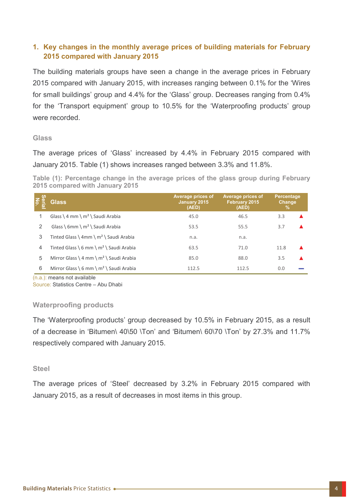# **1. Key changes in the monthly average prices of building materials for February 2015 compared with January 2015**

The building materials groups have seen a change in the average prices in February 2015 compared with January 2015, with increases ranging between 0.1% for the 'Wires for small buildings' group and 4.4% for the 'Glass' group. Decreases ranging from 0.4% for the 'Transport equipment' group to 10.5% for the 'Waterproofing products' group were recorded.

#### **Glass**

The average prices of 'Glass' increased by 4.4% in February 2015 compared with January 2015. Table (1) shows increases ranged between 3.3% and 11.8%.

Table (1): Percentage change in the average prices of the glass group during February **2015 compared with January 2015** 

| Se<br><u>ছ</u> | <b>Glass</b>                                | Average prices of<br>January 2015<br>(AED) | Average prices of<br>February 2015<br>(AED) | <b>Percentage</b><br><b>Change</b><br>% |  |
|----------------|---------------------------------------------|--------------------------------------------|---------------------------------------------|-----------------------------------------|--|
|                | Glass \ 4 mm \ $m^2$ \ Saudi Arabia         | 45.0                                       | 46.5                                        | 3.3                                     |  |
| 2              | Glass \ 6mm \ m <sup>2</sup> \ Saudi Arabia | 53.5                                       | 55.5                                        | 3.7                                     |  |
| 3              | Tinted Glass \ 4mm \ $m^2$ \ Saudi Arabia   | n.a.                                       | n.a.                                        |                                         |  |
| $\overline{4}$ | Tinted Glass \ 6 mm \ $m^2$ \ Saudi Arabia  | 63.5                                       | 71.0                                        | 11.8                                    |  |
| 5              | Mirror Glass \ 4 mm \ $m^2$ \ Saudi Arabia  | 85.0                                       | 88.0                                        | 3.5                                     |  |
| 6              | Mirror Glass \ 6 mm \ $m^2$ \ Saudi Arabia  | 112.5                                      | 112.5                                       | 0.0                                     |  |

 $(n.a.)$ : means not available

Source: Statistics Centre – Abu Dhabi

# **Waterproofing products**

The 'Waterproofing products' group decreased by 10.5% in February 2015, as a result of a decrease in 'Bitumen\ 40\50 \Ton' and 'Bitumen\  $60\sqrt{70}$  \Ton' by 27.3% and 11.7% respectively compared with January 2015.

#### **Steel**

The average prices of 'Steel' decreased by 3.2% in February 2015 compared with January 2015, as a result of decreases in most items in this group.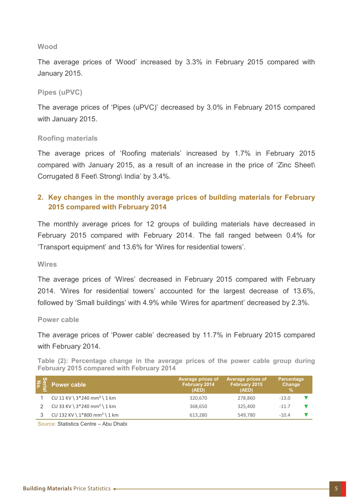#### **Wood**

The average prices of 'Wood' increased by 3.3% in February 2015 compared with January 2015.

#### **Pipes** (uPVC)

The average prices of 'Pipes (uPVC)' decreased by 3.0% in February 2015 compared with January 2015.

#### **materials Roofing**

The average prices of 'Roofing materials' increased by 1.7% in February 2015 compared with January 2015, as a result of an increase in the price of 'Zinc Sheet\ Corrugated 8 Feet\ Strong\ India' by 3.4%.

# **Fexa** for changes in the monthly average prices of building materials for February **2015 compared with February 2014**

The monthly average prices for 12 groups of building materials have decreased in February 2015 compared with February 2014. The fall ranged between 0.4% for 'Transport equipment' and 13.6% for 'Wires for residential towers'.

#### **Wires**

The average prices of 'Wires' decreased in February 2015 compared with February 2014. 'Wires for residential towers' accounted for the largest decrease of 13.6%. followed by 'Small buildings' with 4.9% while 'Wires for apartment' decreased by 2.3%.

#### **Power** cable

The average prices of 'Power cable' decreased by 11.7% in February 2015 compared with February 2014.

Table (2): Percentage change in the average prices of the power cable group during **February 2015 compared with February 2014** 

| $\leq \frac{6}{2}$ . Power cable           | Average prices of<br>February 2014<br>(AED) | Average prices of<br>February 2015<br>(AED) | Percentage<br>Change<br>% |
|--------------------------------------------|---------------------------------------------|---------------------------------------------|---------------------------|
| CU 11 KV \ $3*240$ mm <sup>2</sup> \ 1 km  | 320.670                                     | 278.860                                     | $-13.0$                   |
| CU 33 KV \ $3*240$ mm <sup>2</sup> \ 1 km  | 368,650                                     | 325,400                                     | $-11.7$                   |
| CU 132 KV \ $1*800$ mm <sup>2</sup> \ 1 km | 613.280                                     | 549.780                                     | $-10.4$                   |
|                                            |                                             |                                             |                           |

Source: Statistics Centre – Abu Dhabi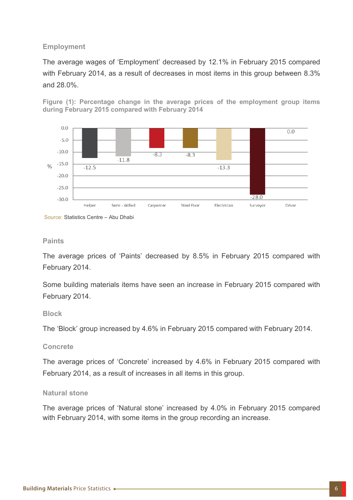# **Employment**

The average wages of 'Employment' decreased by 12.1% in February 2015 compared with February 2014, as a result of decreases in most items in this group between 8.3% and 28.0%.





Source: Statistics Centre - Abu Dhabi

#### **Paints**

The average prices of 'Paints' decreased by 8.5% in February 2015 compared with February 2014.

Some building materials items have seen an increase in February 2015 compared with February 2014.

# **Block**

The 'Block' group increased by 4.6% in February 2015 compared with February 2014.

#### **Concrete**

The average prices of 'Concrete' increased by 4.6% in February 2015 compared with February 2014, as a result of increases in all items in this group.

# **Natural** stone

The average prices of 'Natural stone' increased by 4.0% in February 2015 compared with February 2014, with some items in the group recording an increase.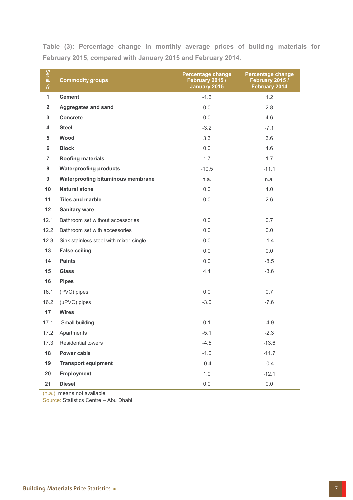Table (3): Percentage change in monthly average prices of building materials for **February 2015, compared with January 2015 and February 2014.** 

| Serial No.     | <b>Commodity groups</b>                  | <b>Percentage change</b><br>February 2015 /<br>January 2015 | <b>Percentage change</b><br>February 2015 /<br>February 2014 |  |
|----------------|------------------------------------------|-------------------------------------------------------------|--------------------------------------------------------------|--|
| $\mathbf{1}$   | <b>Cement</b>                            | $-1.6$                                                      | 1.2                                                          |  |
| $\overline{2}$ | <b>Aggregates and sand</b>               | 0.0                                                         | 2.8                                                          |  |
| $\mathbf{3}$   | <b>Concrete</b>                          | 0.0                                                         | 4.6                                                          |  |
| 4              | <b>Steel</b>                             | $-3.2$                                                      | $-7.1$                                                       |  |
| 5              | Wood                                     | 3.3                                                         | 3.6                                                          |  |
| 6              | <b>Block</b>                             | 0.0                                                         | 4.6                                                          |  |
| $\overline{7}$ | <b>Roofing materials</b>                 | 1.7                                                         | 1.7                                                          |  |
| 8              | <b>Waterproofing products</b>            | $-10.5$                                                     | $-11.1$                                                      |  |
| 9              | <b>Waterproofing bituminous membrane</b> | n.a.                                                        | n.a.                                                         |  |
| 10             | <b>Natural stone</b>                     | 0.0                                                         | 4.0                                                          |  |
| 11             | <b>Tiles and marble</b>                  | 0.0                                                         | 2.6                                                          |  |
| 12             | <b>Sanitary ware</b>                     |                                                             |                                                              |  |
| 12.1           | Bathroom set without accessories         | 0.0                                                         | 0.7                                                          |  |
| 12.2           | Bathroom set with accessories            | 0.0                                                         | 0.0                                                          |  |
| 12.3           | Sink stainless steel with mixer-single   | 0.0                                                         | $-1.4$                                                       |  |
| 13             | <b>False ceiling</b>                     | 0.0                                                         | 0.0                                                          |  |
| 14             | <b>Paints</b>                            | 0.0                                                         | $-8.5$                                                       |  |
| 15             | <b>Glass</b>                             | 4.4                                                         | $-3.6$                                                       |  |
| 16             | <b>Pipes</b>                             |                                                             |                                                              |  |
| 16.1           | (PVC) pipes                              | 0.0                                                         | 0.7                                                          |  |
| 16.2           | (uPVC) pipes                             | $-3.0$                                                      | $-7.6$                                                       |  |
| 17             | <b>Wires</b>                             |                                                             |                                                              |  |
| 17.1           | Small building                           | 0.1                                                         | $-4.9$                                                       |  |
|                | 17.2 Apartments                          | $-5.1$                                                      | $-2.3$                                                       |  |
| 17.3           | <b>Residential towers</b>                | $-4.5$                                                      | $-13.6$                                                      |  |
| 18             | Power cable                              | $-1.0$                                                      | $-11.7$                                                      |  |
| 19             | <b>Transport equipment</b>               | $-0.4$                                                      | $-0.4$                                                       |  |
| 20             | <b>Employment</b>                        | $1.0$                                                       | $-12.1$                                                      |  |
| 21             | <b>Diesel</b>                            | 0.0                                                         | $0.0\,$                                                      |  |

 $(n.a.)$ : means not available

Source: Statistics Centre – Abu Dhabi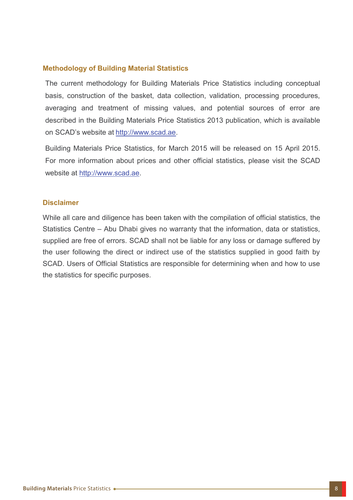# **Methodology of Building Material Statistics**

The current methodology for Building Materials Price Statistics including conceptual basis, construction of the basket, data collection, validation, processing procedures, averaging and treatment of missing values, and potential sources of error are described in the Building Materials Price Statistics 2013 publication, which is available on SCAD's website at http://www.scad.ae.

Building Materials Price Statistics, for March 2015 will be released on 15 April 2015. For more information about prices and other official statistics, please visit the SCAD website at http://www.scad.ae.

#### **Disclaimer**

While all care and diligence has been taken with the compilation of official statistics, the Statistics Centre – Abu Dhabi gives no warranty that the information, data or statistics, supplied are free of errors. SCAD shall not be liable for any loss or damage suffered by the user following the direct or indirect use of the statistics supplied in good faith by SCAD. Users of Official Statistics are responsible for determining when and how to use the statistics for specific purposes.